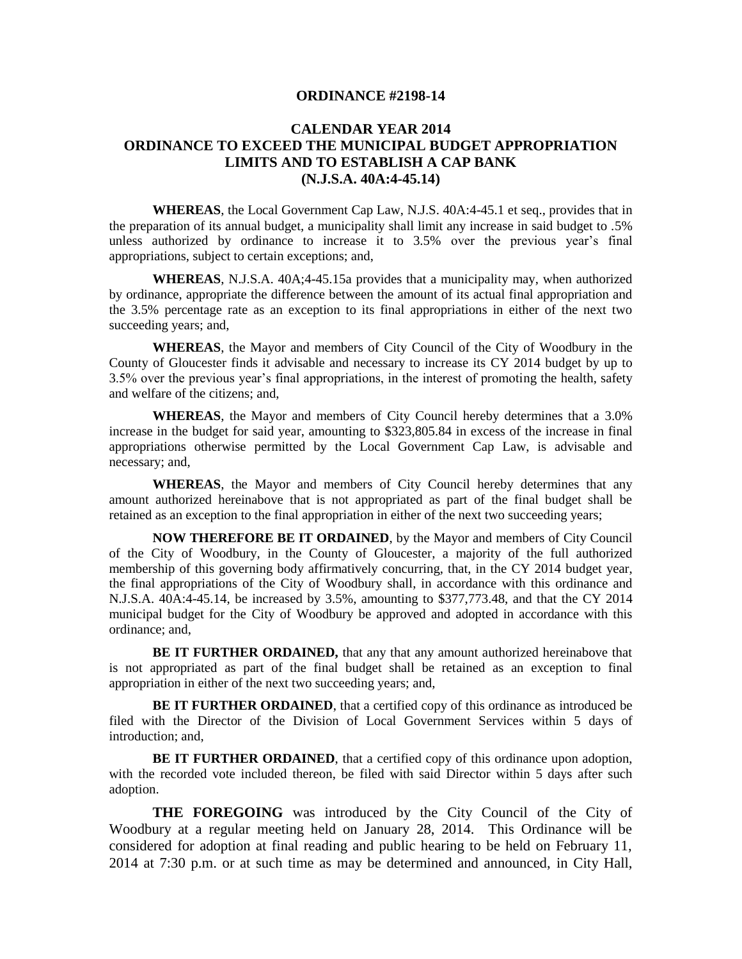## **ORDINANCE #2198-14**

## **CALENDAR YEAR 2014 ORDINANCE TO EXCEED THE MUNICIPAL BUDGET APPROPRIATION LIMITS AND TO ESTABLISH A CAP BANK (N.J.S.A. 40A:4-45.14)**

**WHEREAS**, the Local Government Cap Law, N.J.S. 40A:4-45.1 et seq., provides that in the preparation of its annual budget, a municipality shall limit any increase in said budget to .5% unless authorized by ordinance to increase it to 3.5% over the previous year's final appropriations, subject to certain exceptions; and,

**WHEREAS**, N.J.S.A. 40A;4-45.15a provides that a municipality may, when authorized by ordinance, appropriate the difference between the amount of its actual final appropriation and the 3.5% percentage rate as an exception to its final appropriations in either of the next two succeeding years; and,

**WHEREAS**, the Mayor and members of City Council of the City of Woodbury in the County of Gloucester finds it advisable and necessary to increase its CY 2014 budget by up to 3.5% over the previous year's final appropriations, in the interest of promoting the health, safety and welfare of the citizens; and,

**WHEREAS**, the Mayor and members of City Council hereby determines that a 3.0% increase in the budget for said year, amounting to \$323,805.84 in excess of the increase in final appropriations otherwise permitted by the Local Government Cap Law, is advisable and necessary; and,

**WHEREAS**, the Mayor and members of City Council hereby determines that any amount authorized hereinabove that is not appropriated as part of the final budget shall be retained as an exception to the final appropriation in either of the next two succeeding years;

**NOW THEREFORE BE IT ORDAINED**, by the Mayor and members of City Council of the City of Woodbury, in the County of Gloucester, a majority of the full authorized membership of this governing body affirmatively concurring, that, in the CY 2014 budget year, the final appropriations of the City of Woodbury shall, in accordance with this ordinance and N.J.S.A. 40A:4-45.14, be increased by 3.5%, amounting to \$377,773.48, and that the CY 2014 municipal budget for the City of Woodbury be approved and adopted in accordance with this ordinance; and,

**BE IT FURTHER ORDAINED,** that any that any amount authorized hereinabove that is not appropriated as part of the final budget shall be retained as an exception to final appropriation in either of the next two succeeding years; and,

**BE IT FURTHER ORDAINED**, that a certified copy of this ordinance as introduced be filed with the Director of the Division of Local Government Services within 5 days of introduction; and,

**BE IT FURTHER ORDAINED**, that a certified copy of this ordinance upon adoption, with the recorded vote included thereon, be filed with said Director within 5 days after such adoption.

**THE FOREGOING** was introduced by the City Council of the City of Woodbury at a regular meeting held on January 28, 2014. This Ordinance will be considered for adoption at final reading and public hearing to be held on February 11, 2014 at 7:30 p.m. or at such time as may be determined and announced, in City Hall,